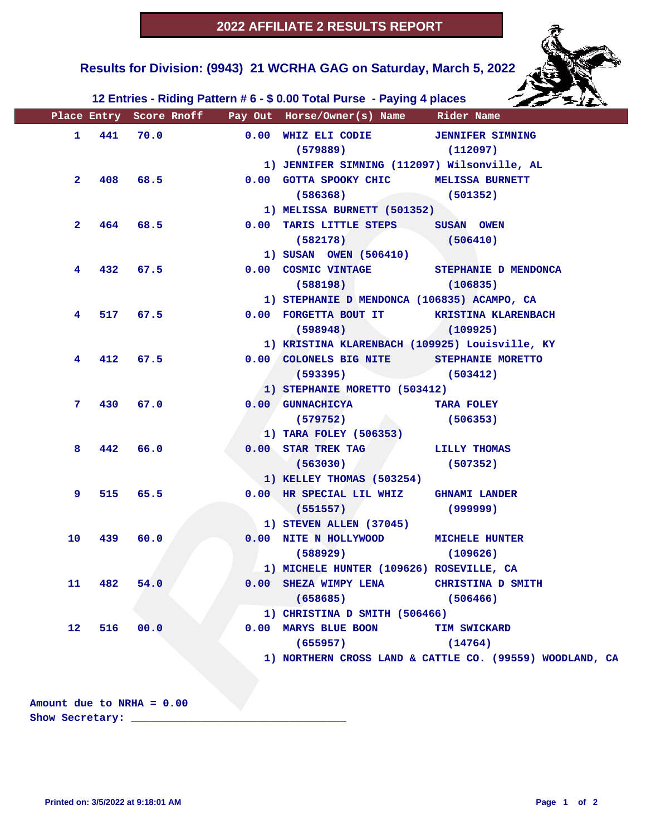

 **Results for Division: (9943) 21 WCRHA GAG on Saturday, March 5, 2022** 

 **12 Entries - Riding Pattern # 6 - \$ 0.00 Total Purse - Paying 4 places**

|                   |     |          |      | Place Entry Score Rnoff Pay Out Horse/Owner(s) Name Rider Name |                                                          |
|-------------------|-----|----------|------|----------------------------------------------------------------|----------------------------------------------------------|
| $\mathbf{1}$      | 441 | 70.0     |      | 0.00 WHIZ ELI CODIE JENNIFER SIMNING                           |                                                          |
|                   |     |          |      | $(579889)$ $(112097)$                                          |                                                          |
|                   |     |          |      | 1) JENNIFER SIMNING (112097) Wilsonville, AL                   |                                                          |
| $\mathbf{2}$      | 408 |          | 68.5 | 0.00 GOTTA SPOOKY CHIC MELISSA BURNETT                         |                                                          |
|                   |     |          |      | $(586368)$ (501352)                                            |                                                          |
|                   |     |          |      | 1) MELISSA BURNETT (501352)                                    |                                                          |
| $\mathbf{2}$      | 464 | 68.5     |      | 0.00 TARIS LITTLE STEPS SUSAN OWEN                             |                                                          |
|                   |     |          |      | (582178)                                                       | (506410)                                                 |
|                   |     |          |      | 1) SUSAN OWEN (506410)                                         |                                                          |
| 4                 | 432 | 67.5     |      | 0.00 COSMIC VINTAGE STEPHANIE D MENDONCA                       |                                                          |
|                   |     |          |      | $(588198)$ $(106835)$                                          |                                                          |
|                   |     |          |      | 1) STEPHANIE D MENDONCA (106835) ACAMPO, CA                    |                                                          |
| 4                 |     | 517 67.5 |      | 0.00 FORGETTA BOUT IT KRISTINA KLARENBACH                      |                                                          |
|                   |     |          |      | $(598948)$ (109925)                                            |                                                          |
|                   |     |          |      | 1) KRISTINA KLARENBACH (109925) Louisville, KY                 |                                                          |
| 4                 | 412 | 67.5     |      | 0.00 COLONELS BIG NITE STEPHANIE MORETTO                       |                                                          |
|                   |     |          |      | $(593395)$ (503412)                                            |                                                          |
|                   |     |          |      | 1) STEPHANIE MORETTO (503412)                                  |                                                          |
| 7.                | 430 | 67.0     |      | 0.00 GUNNACHICYA                                               | TARA FOLEY                                               |
|                   |     |          |      | (579752)                                                       | (506353)                                                 |
|                   |     |          |      | 1) TARA FOLEY (506353)                                         |                                                          |
| 8                 | 442 | 66.0     |      | 0.00 STAR TREK TAG LILLY THOMAS                                |                                                          |
|                   |     |          |      | $(563030)$ (507352)                                            |                                                          |
|                   |     |          |      | 1) KELLEY THOMAS (503254)                                      |                                                          |
| 9                 | 515 | 65.5     |      | 0.00 HR SPECIAL LIL WHIZ GHNAMI LANDER                         |                                                          |
|                   |     |          |      | (551557)                                                       | (999999)                                                 |
|                   |     |          |      | 1) STEVEN ALLEN (37045)                                        |                                                          |
| 10                | 439 | 60.0     |      | 0.00 NITE N HOLLYWOOD MICHELE HUNTER                           |                                                          |
|                   |     |          |      | (588929)                                                       | (109626)                                                 |
|                   |     |          |      | 1) MICHELE HUNTER (109626) ROSEVILLE, CA                       |                                                          |
| 11                | 482 | 54.0     |      | 0.00 SHEZA WIMPY LENA                                          | CHRISTINA D SMITH                                        |
|                   |     |          |      | (658685)                                                       | (506466)                                                 |
|                   |     |          |      | 1) CHRISTINA D SMITH (506466)                                  |                                                          |
| $12 \overline{ }$ | 516 | 00.0     |      | 0.00 MARYS BLUE BOON                                           | TIM SWICKARD                                             |
|                   |     |          |      | (655957)                                                       | (14764)                                                  |
|                   |     |          |      |                                                                | 1) NORTHERN CROSS LAND & CATTLE CO. (99559) WOODLAND, CA |
|                   |     |          |      |                                                                |                                                          |
|                   |     |          |      |                                                                |                                                          |
|                   |     |          |      |                                                                |                                                          |

**Amount due to NRHA = 0.00**

**Show Secretary: \_\_\_\_\_\_\_\_\_\_\_\_\_\_\_\_\_\_\_\_\_\_\_\_\_\_\_\_\_\_\_\_\_\_**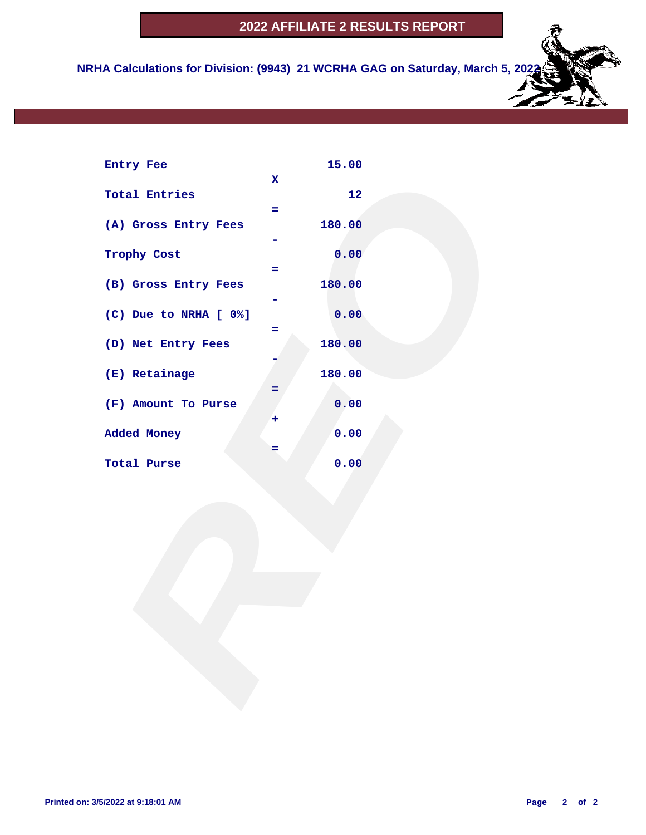## **2022 AFFILIATE 2 RESULTS REPORT**

 **NRHA Calculations for Division: (9943) 21 WCRHA GAG on Saturday, March 5, 2022**

| Entry Fee             |             | 15.00  |  |  |
|-----------------------|-------------|--------|--|--|
|                       | $\mathbf x$ |        |  |  |
| <b>Total Entries</b>  | ÷.          | 12     |  |  |
| (A) Gross Entry Fees  |             | 180.00 |  |  |
|                       |             |        |  |  |
| Trophy Cost           | $=$         | 0.00   |  |  |
| (B) Gross Entry Fees  |             | 180.00 |  |  |
| (C) Due to NRHA [ 0%] |             | 0.00   |  |  |
|                       | Ξ           |        |  |  |
| (D) Net Entry Fees    |             | 180.00 |  |  |
| (E) Retainage         |             | 180.00 |  |  |
| (F) Amount To Purse   | =           | 0.00   |  |  |
|                       | ٠           |        |  |  |
| Added Money           |             | 0.00   |  |  |
| Total Purse           | $=$         | 0.00   |  |  |
|                       |             |        |  |  |
|                       |             |        |  |  |
|                       |             |        |  |  |
|                       |             |        |  |  |
|                       |             |        |  |  |
|                       |             |        |  |  |
|                       |             |        |  |  |
|                       |             |        |  |  |
|                       |             |        |  |  |
|                       |             |        |  |  |
|                       |             |        |  |  |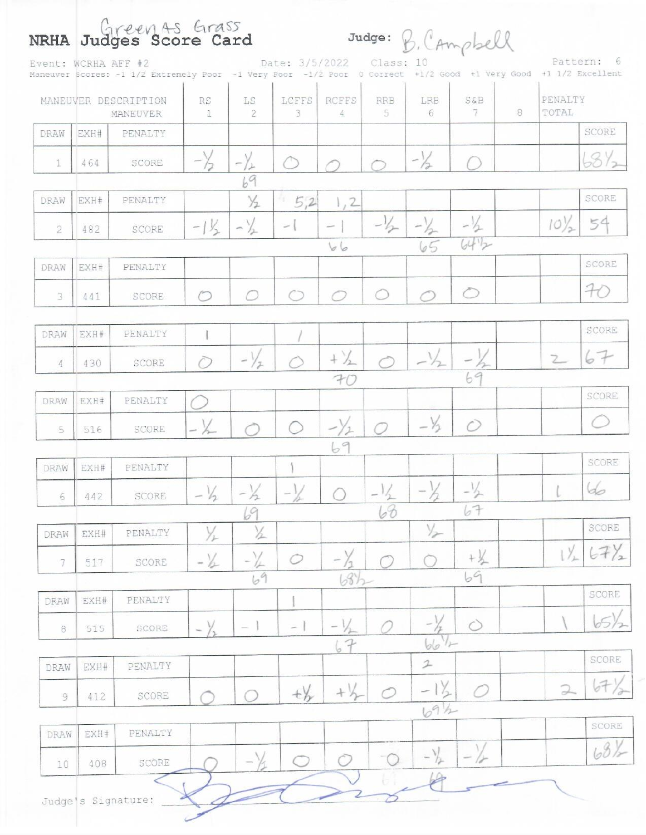|                | Event: WCRHA AFF #2 | Maneuver Scores: -1 1/2 Extremely Poor -1 Very Poor -1/2 Poor 0 Correct +1/2 Good +1 Very Good +1 1/2 Excellent |                 |                         | Date: 3/5/2022           |                   | Class: 10            | Judge: B. CAmpbell |                   |   |                  | Pattern: 6          |
|----------------|---------------------|-----------------------------------------------------------------------------------------------------------------|-----------------|-------------------------|--------------------------|-------------------|----------------------|--------------------|-------------------|---|------------------|---------------------|
|                |                     | MANEUVER DESCRIPTION<br><b>MANEUVER</b>                                                                         | RS<br>4         | LS<br>$\mathbf{2}$      | LCFFS<br>$\mathbf{3}$    | <b>RCFFS</b><br>4 | <b>RRB</b><br>$5 \,$ | LRB<br>6           | $S\&B$<br>7       | 8 | PENALTY<br>TOTAL |                     |
| DRAW           | EXH#                | PENALTY                                                                                                         |                 |                         |                          |                   |                      |                    |                   |   |                  | SCORE               |
| 1              | 464                 | SCORE                                                                                                           |                 | $-\gamma$<br>누          |                          |                   |                      | $-\frac{1}{2}$     |                   |   |                  | 6872                |
| DRAW           | EXH#                | PENALTY                                                                                                         |                 | 69<br>$\frac{1}{2}$     | 50.<br>5,2               | 1, 2              |                      |                    |                   |   |                  | SCORE               |
| $\overline{2}$ | 482                 | SCORE                                                                                                           | $-1\frac{1}{2}$ | $-\frac{1}{2}$          | $\overline{\phantom{a}}$ |                   | $-1/2$               | $-\frac{1}{2}$     | $-1/2$            |   | $10^{1/2}$       | 54                  |
|                |                     |                                                                                                                 |                 |                         |                          | 66                |                      | 65                 | 6442              |   |                  |                     |
| DRAW           | EXH#                | PENALTY                                                                                                         |                 |                         |                          |                   |                      |                    |                   |   |                  | SCORE               |
| 3              | 441                 | SCORE                                                                                                           | r               | $\cap$                  |                          |                   |                      |                    | ⌒                 |   |                  | H                   |
| DRAW           | EXH#                | PENALTY                                                                                                         |                 |                         |                          |                   |                      |                    |                   |   |                  | SCORE               |
| 4              | 430                 | SCORE                                                                                                           |                 | $ \vee$<br>$\mathbb{I}$ |                          | $+\frac{1}{2}$    |                      | $-\frac{1}{2}$     |                   |   | $2-$             | 67                  |
| DRAW           | EXH#                | PENALTY                                                                                                         |                 |                         |                          | FC                |                      |                    | 69                |   |                  | SCORE               |
| 5              | 516                 | <b>SCORE</b>                                                                                                    | $-\frac{1}{2}$  |                         |                          |                   |                      | $-\frac{1}{2}$     | $\bigcap$         |   |                  |                     |
|                |                     |                                                                                                                 |                 |                         |                          | 69                |                      |                    |                   |   |                  | SCORE               |
| DRAW           | EXH#                | PENALTY                                                                                                         |                 |                         |                          |                   |                      |                    |                   |   |                  |                     |
| 6              | 442                 | SCORE                                                                                                           | $-\frac{1}{2}$  | $-1/2$<br>69            | $-\frac{1}{2}$           |                   | $-1/2$<br>68         | $-1$               | 67                |   |                  | 6                   |
| DRAW           | EXH#                | PENALTY                                                                                                         | Yı              | $\frac{1}{2}$           |                          |                   |                      | $\frac{1}{2}$      |                   |   |                  | SCORE               |
| 7              | 517                 | SCORE                                                                                                           | $-\frac{1}{2}$  |                         | $\circ$                  |                   |                      |                    | $+$ $\frac{1}{2}$ |   | $1\frac{1}{2}$   | $\langle 7 \rangle$ |
|                |                     |                                                                                                                 |                 | 69                      |                          | 68h               |                      |                    | 69                |   |                  | SCORE               |
| DRAW           | EXH#                | PENALTY                                                                                                         |                 |                         |                          |                   |                      |                    |                   |   |                  |                     |
| $\,$ 8 $\,$    | 515                 | SCORE                                                                                                           | $ \vee$         | $\frac{1}{2}$           | $\overline{\phantom{a}}$ | 67                |                      | $v_{\mu}$<br>66    | $\bigcirc$        |   |                  | 05,                 |
| DRAW           | EXH#                | PENALTY                                                                                                         |                 |                         |                          |                   |                      | $\mathfrak{D}$     |                   |   |                  | SCORE               |
| 9              | 412                 | SCORE                                                                                                           |                 |                         | $+\frac{1}{2}$           | $+\frac{1}{2}$    | ◯                    |                    |                   |   | $\supseteq$      | 67)                 |
|                |                     |                                                                                                                 |                 |                         |                          |                   |                      | 69h                |                   |   |                  | SCORE               |
| DRAW           | EXH#                | PENALTY                                                                                                         |                 |                         |                          |                   |                      |                    |                   |   |                  | 681                 |
| 10             | 408                 | SCORE                                                                                                           |                 |                         | ◠                        |                   | $\bigcirc$           | $-\frac{1}{2}$     |                   |   |                  |                     |